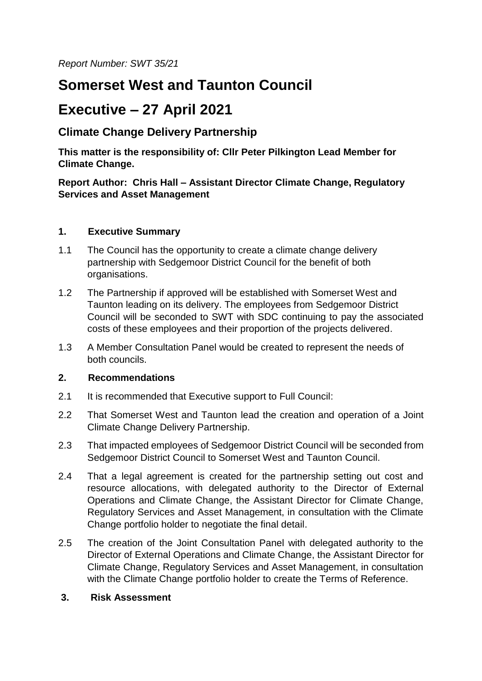*Report Number: SWT 35/21*

# **Somerset West and Taunton Council**

## **Executive – 27 April 2021**

## **Climate Change Delivery Partnership**

**This matter is the responsibility of: Cllr Peter Pilkington Lead Member for Climate Change.**

**Report Author: Chris Hall – Assistant Director Climate Change, Regulatory Services and Asset Management**

### **1. Executive Summary**

- 1.1 The Council has the opportunity to create a climate change delivery partnership with Sedgemoor District Council for the benefit of both organisations.
- 1.2 The Partnership if approved will be established with Somerset West and Taunton leading on its delivery. The employees from Sedgemoor District Council will be seconded to SWT with SDC continuing to pay the associated costs of these employees and their proportion of the projects delivered.
- 1.3 A Member Consultation Panel would be created to represent the needs of both councils.

## **2. Recommendations**

- 2.1 It is recommended that Executive support to Full Council:
- 2.2 That Somerset West and Taunton lead the creation and operation of a Joint Climate Change Delivery Partnership.
- 2.3 That impacted employees of Sedgemoor District Council will be seconded from Sedgemoor District Council to Somerset West and Taunton Council.
- 2.4 That a legal agreement is created for the partnership setting out cost and resource allocations, with delegated authority to the Director of External Operations and Climate Change, the Assistant Director for Climate Change, Regulatory Services and Asset Management, in consultation with the Climate Change portfolio holder to negotiate the final detail.
- 2.5 The creation of the Joint Consultation Panel with delegated authority to the Director of External Operations and Climate Change, the Assistant Director for Climate Change, Regulatory Services and Asset Management, in consultation with the Climate Change portfolio holder to create the Terms of Reference.

#### **3. Risk Assessment**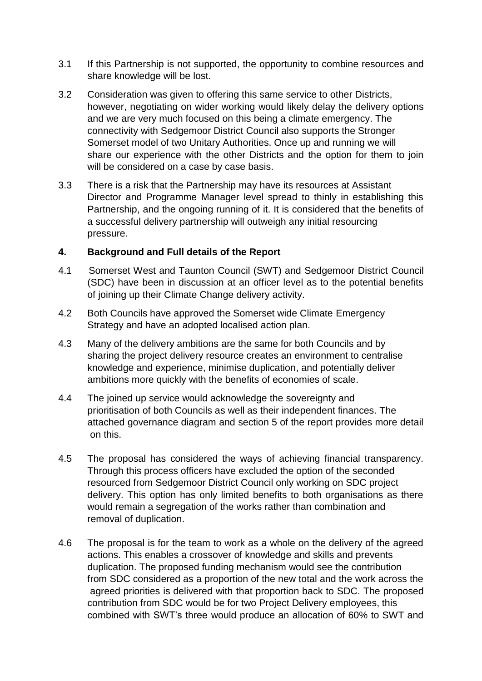- 3.1 If this Partnership is not supported, the opportunity to combine resources and share knowledge will be lost.
- 3.2 Consideration was given to offering this same service to other Districts, however, negotiating on wider working would likely delay the delivery options and we are very much focused on this being a climate emergency. The connectivity with Sedgemoor District Council also supports the Stronger Somerset model of two Unitary Authorities. Once up and running we will share our experience with the other Districts and the option for them to join will be considered on a case by case basis.
- 3.3 There is a risk that the Partnership may have its resources at Assistant Director and Programme Manager level spread to thinly in establishing this Partnership, and the ongoing running of it. It is considered that the benefits of a successful delivery partnership will outweigh any initial resourcing pressure.

## **4. Background and Full details of the Report**

- 4.1 Somerset West and Taunton Council (SWT) and Sedgemoor District Council (SDC) have been in discussion at an officer level as to the potential benefits of joining up their Climate Change delivery activity.
- 4.2 Both Councils have approved the Somerset wide Climate Emergency Strategy and have an adopted localised action plan.
- 4.3 Many of the delivery ambitions are the same for both Councils and by sharing the project delivery resource creates an environment to centralise knowledge and experience, minimise duplication, and potentially deliver ambitions more quickly with the benefits of economies of scale.
- 4.4 The joined up service would acknowledge the sovereignty and prioritisation of both Councils as well as their independent finances. The attached governance diagram and section 5 of the report provides more detail on this.
- 4.5 The proposal has considered the ways of achieving financial transparency. Through this process officers have excluded the option of the seconded resourced from Sedgemoor District Council only working on SDC project delivery. This option has only limited benefits to both organisations as there would remain a segregation of the works rather than combination and removal of duplication.
- 4.6 The proposal is for the team to work as a whole on the delivery of the agreed actions. This enables a crossover of knowledge and skills and prevents duplication. The proposed funding mechanism would see the contribution from SDC considered as a proportion of the new total and the work across the agreed priorities is delivered with that proportion back to SDC. The proposed contribution from SDC would be for two Project Delivery employees, this combined with SWT's three would produce an allocation of 60% to SWT and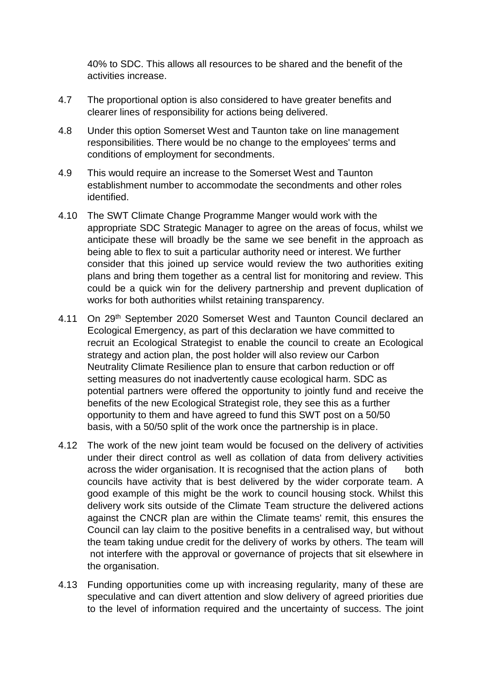40% to SDC. This allows all resources to be shared and the benefit of the activities increase.

- 4.7 The proportional option is also considered to have greater benefits and clearer lines of responsibility for actions being delivered.
- 4.8 Under this option Somerset West and Taunton take on line management responsibilities. There would be no change to the employees' terms and conditions of employment for secondments.
- 4.9 This would require an increase to the Somerset West and Taunton establishment number to accommodate the secondments and other roles identified.
- 4.10 The SWT Climate Change Programme Manger would work with the appropriate SDC Strategic Manager to agree on the areas of focus, whilst we anticipate these will broadly be the same we see benefit in the approach as being able to flex to suit a particular authority need or interest. We further consider that this joined up service would review the two authorities exiting plans and bring them together as a central list for monitoring and review. This could be a quick win for the delivery partnership and prevent duplication of works for both authorities whilst retaining transparency.
- 4.11 On 29th September 2020 Somerset West and Taunton Council declared an Ecological Emergency, as part of this declaration we have committed to recruit an Ecological Strategist to enable the council to create an Ecological strategy and action plan, the post holder will also review our Carbon Neutrality Climate Resilience plan to ensure that carbon reduction or off setting measures do not inadvertently cause ecological harm. SDC as potential partners were offered the opportunity to jointly fund and receive the benefits of the new Ecological Strategist role, they see this as a further opportunity to them and have agreed to fund this SWT post on a 50/50 basis, with a 50/50 split of the work once the partnership is in place.
- 4.12 The work of the new joint team would be focused on the delivery of activities under their direct control as well as collation of data from delivery activities across the wider organisation. It is recognised that the action plans of both councils have activity that is best delivered by the wider corporate team. A good example of this might be the work to council housing stock. Whilst this delivery work sits outside of the Climate Team structure the delivered actions against the CNCR plan are within the Climate teams' remit, this ensures the Council can lay claim to the positive benefits in a centralised way, but without the team taking undue credit for the delivery of works by others. The team will not interfere with the approval or governance of projects that sit elsewhere in the organisation.
- 4.13 Funding opportunities come up with increasing regularity, many of these are speculative and can divert attention and slow delivery of agreed priorities due to the level of information required and the uncertainty of success. The joint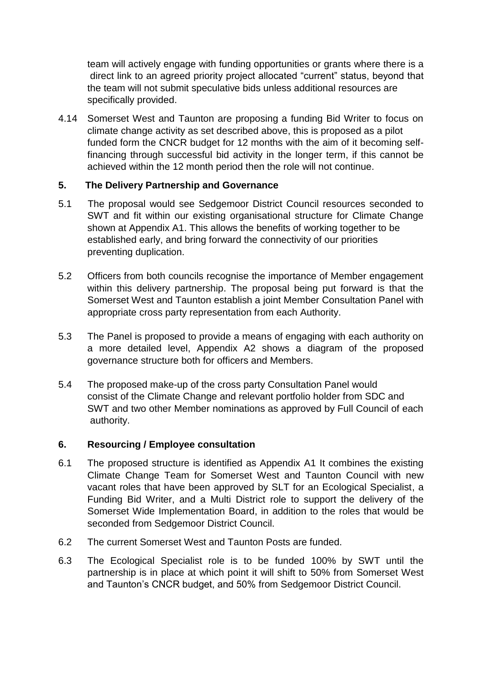team will actively engage with funding opportunities or grants where there is a direct link to an agreed priority project allocated "current" status, beyond that the team will not submit speculative bids unless additional resources are specifically provided.

4.14 Somerset West and Taunton are proposing a funding Bid Writer to focus on climate change activity as set described above, this is proposed as a pilot funded form the CNCR budget for 12 months with the aim of it becoming selffinancing through successful bid activity in the longer term, if this cannot be achieved within the 12 month period then the role will not continue.

### **5. The Delivery Partnership and Governance**

- 5.1 The proposal would see Sedgemoor District Council resources seconded to SWT and fit within our existing organisational structure for Climate Change shown at Appendix A1. This allows the benefits of working together to be established early, and bring forward the connectivity of our priorities preventing duplication.
- 5.2 Officers from both councils recognise the importance of Member engagement within this delivery partnership. The proposal being put forward is that the Somerset West and Taunton establish a joint Member Consultation Panel with appropriate cross party representation from each Authority.
- 5.3 The Panel is proposed to provide a means of engaging with each authority on a more detailed level, Appendix A2 shows a diagram of the proposed governance structure both for officers and Members.
- 5.4 The proposed make-up of the cross party Consultation Panel would consist of the Climate Change and relevant portfolio holder from SDC and SWT and two other Member nominations as approved by Full Council of each authority.

#### **6. Resourcing / Employee consultation**

- 6.1 The proposed structure is identified as Appendix A1 It combines the existing Climate Change Team for Somerset West and Taunton Council with new vacant roles that have been approved by SLT for an Ecological Specialist, a Funding Bid Writer, and a Multi District role to support the delivery of the Somerset Wide Implementation Board, in addition to the roles that would be seconded from Sedgemoor District Council.
- 6.2 The current Somerset West and Taunton Posts are funded.
- 6.3 The Ecological Specialist role is to be funded 100% by SWT until the partnership is in place at which point it will shift to 50% from Somerset West and Taunton's CNCR budget, and 50% from Sedgemoor District Council.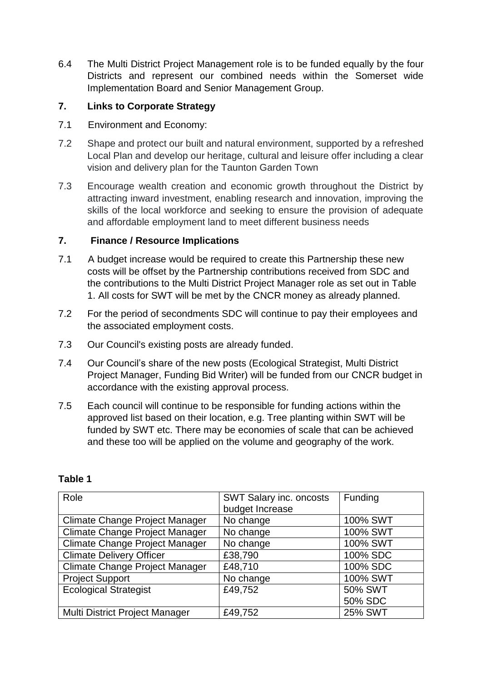6.4 The Multi District Project Management role is to be funded equally by the four Districts and represent our combined needs within the Somerset wide Implementation Board and Senior Management Group.

## **7. Links to Corporate Strategy**

- 7.1 Environment and Economy:
- 7.2 Shape and protect our built and natural environment, supported by a refreshed Local Plan and develop our heritage, cultural and leisure offer including a clear vision and delivery plan for the Taunton Garden Town
- 7.3 Encourage wealth creation and economic growth throughout the District by attracting inward investment, enabling research and innovation, improving the skills of the local workforce and seeking to ensure the provision of adequate and affordable employment land to meet different business needs

## **7. Finance / Resource Implications**

- 7.1 A budget increase would be required to create this Partnership these new costs will be offset by the Partnership contributions received from SDC and the contributions to the Multi District Project Manager role as set out in Table 1. All costs for SWT will be met by the CNCR money as already planned.
- 7.2 For the period of secondments SDC will continue to pay their employees and the associated employment costs.
- 7.3 Our Council's existing posts are already funded.
- 7.4 Our Council's share of the new posts (Ecological Strategist, Multi District Project Manager, Funding Bid Writer) will be funded from our CNCR budget in accordance with the existing approval process.
- 7.5 Each council will continue to be responsible for funding actions within the approved list based on their location, e.g. Tree planting within SWT will be funded by SWT etc. There may be economies of scale that can be achieved and these too will be applied on the volume and geography of the work.

| Role                                  | SWT Salary inc. oncosts | Funding        |
|---------------------------------------|-------------------------|----------------|
|                                       | budget Increase         |                |
| Climate Change Project Manager        | No change               | 100% SWT       |
| Climate Change Project Manager        | No change               | 100% SWT       |
| Climate Change Project Manager        | No change               | 100% SWT       |
| <b>Climate Delivery Officer</b>       | £38,790                 | 100% SDC       |
| <b>Climate Change Project Manager</b> | £48,710                 | 100% SDC       |
| <b>Project Support</b>                | No change               | 100% SWT       |
| <b>Ecological Strategist</b>          | £49,752                 | 50% SWT        |
|                                       |                         | 50% SDC        |
| Multi District Project Manager        | £49,752                 | <b>25% SWT</b> |

#### **Table 1**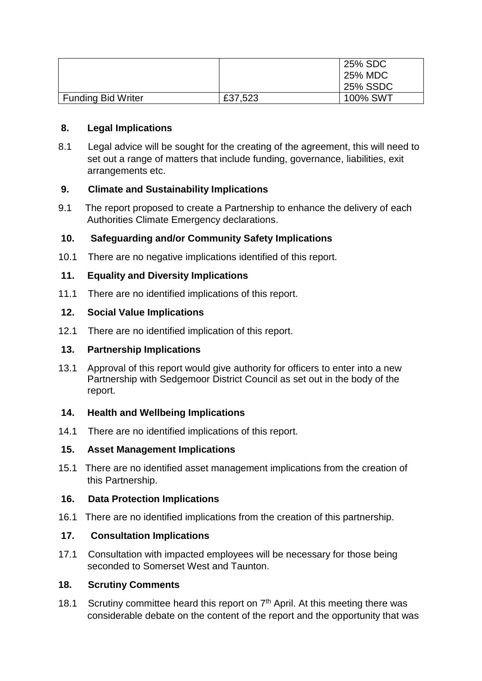|                           |         | 25% SDC         |
|---------------------------|---------|-----------------|
|                           |         | 25% MDC         |
|                           |         | <b>25% SSDC</b> |
| <b>Funding Bid Writer</b> | £37,523 | 100% SWT        |

#### **8. Legal Implications**

8.1 Legal advice will be sought for the creating of the agreement, this will need to set out a range of matters that include funding, governance, liabilities, exit arrangements etc.

## **9. Climate and Sustainability Implications**

9.1 The report proposed to create a Partnership to enhance the delivery of each Authorities Climate Emergency declarations.

## **10. Safeguarding and/or Community Safety Implications**

10.1 There are no negative implications identified of this report.

### **11. Equality and Diversity Implications**

11.1 There are no identified implications of this report.

#### **12. Social Value Implications**

12.1 There are no identified implication of this report.

#### **13. Partnership Implications**

13.1 Approval of this report would give authority for officers to enter into a new Partnership with Sedgemoor District Council as set out in the body of the report.

#### **14. Health and Wellbeing Implications**

14.1 There are no identified implications of this report.

#### **15. Asset Management Implications**

15.1 There are no identified asset management implications from the creation of this Partnership.

#### **16. Data Protection Implications**

16.1 There are no identified implications from the creation of this partnership.

### **17. Consultation Implications**

17.1 Consultation with impacted employees will be necessary for those being seconded to Somerset West and Taunton.

#### **18. Scrutiny Comments**

18.1 Scrutiny committee heard this report on  $7<sup>th</sup>$  April. At this meeting there was considerable debate on the content of the report and the opportunity that was